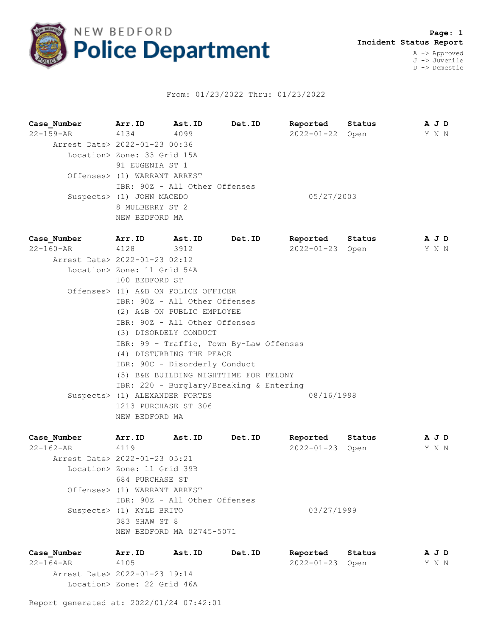

## From: 01/23/2022 Thru: 01/23/2022

**Case\_Number Arr.ID Ast.ID Det.ID Reported Status A J D** 22-159-AR 4134 4099 2022-01-22 Open Y N N Arrest Date> 2022-01-23 00:36 Location> Zone: 33 Grid 15A 91 EUGENIA ST 1 Offenses> (1) WARRANT ARREST IBR: 90Z - All Other Offenses Suspects> (1) JOHN MACEDO 05/27/2003 8 MULBERRY ST 2 NEW BEDFORD MA

**Case\_Number Arr.ID Ast.ID Det.ID Reported Status A J D** 22-160-AR 4128 3912 2022-01-23 Open Y N N Arrest Date> 2022-01-23 02:12 Location> Zone: 11 Grid 54A 100 BEDFORD ST Offenses> (1) A&B ON POLICE OFFICER IBR: 90Z - All Other Offenses (2) A&B ON PUBLIC EMPLOYEE IBR: 90Z - All Other Offenses (3) DISORDELY CONDUCT IBR: 99 - Traffic, Town By-Law Offenses (4) DISTURBING THE PEACE IBR: 90C - Disorderly Conduct (5) B&E BUILDING NIGHTTIME FOR FELONY IBR: 220 - Burglary/Breaking & Entering Suspects> (1) ALEXANDER FORTES 08/16/1998 1213 PURCHASE ST 306 NEW BEDFORD MA

| Case Number                   | Arr.ID                       | Ast.ID                        | Det.ID | Reported         | Status | A J D |  |
|-------------------------------|------------------------------|-------------------------------|--------|------------------|--------|-------|--|
| 22-162-AR                     | 4119                         |                               |        | $2022 - 01 - 23$ | Open   | Y N N |  |
| Arrest Date> 2022-01-23 05:21 |                              |                               |        |                  |        |       |  |
|                               | Location> Zone: 11 Grid 39B  |                               |        |                  |        |       |  |
|                               | 684 PURCHASE ST              |                               |        |                  |        |       |  |
|                               | Offenses> (1) WARRANT ARREST |                               |        |                  |        |       |  |
|                               |                              | IBR: 90Z - All Other Offenses |        |                  |        |       |  |
|                               | Suspects> (1) KYLE BRITO     |                               |        | 03/27/1999       |        |       |  |
|                               | 383 SHAW ST 8                |                               |        |                  |        |       |  |
|                               |                              | NEW BEDFORD MA 02745-5071     |        |                  |        |       |  |
|                               |                              |                               |        |                  |        |       |  |

**Case\_Number Arr.ID Ast.ID Det.ID Reported Status A J D** 22-164-AR 4105 2022-01-23 Open Y N N Arrest Date> 2022-01-23 19:14 Location> Zone: 22 Grid 46A